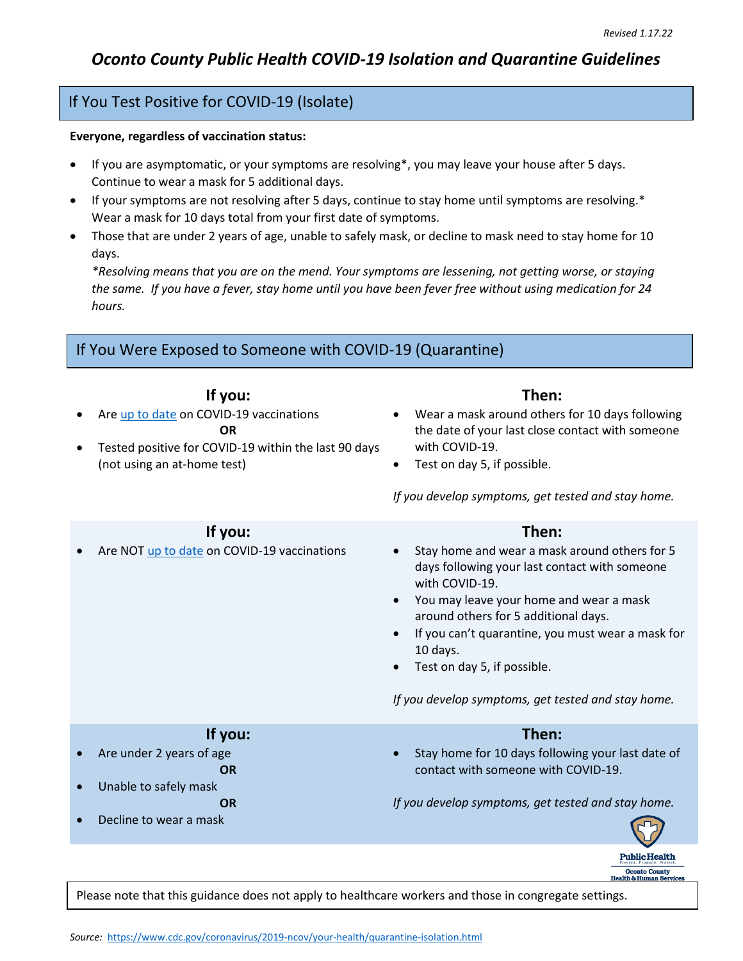Oconto County<br>Health & Human Services

## If You Test Positive for COVID-19 (Isolate)

## **Everyone, regardless of vaccination status:**

- If you are asymptomatic, or your symptoms are resolving\*, you may leave your house after 5 days. Continue to wear a mask for 5 additional days.
- If your symptoms are not resolving after 5 days, continue to stay home until symptoms are resolving.\* Wear a mask for 10 days total from your first date of symptoms.
- Those that are under 2 years of age, unable to safely mask, or decline to mask need to stay home for 10 days.

*\*Resolving means that you are on the mend. Your symptoms are lessening, not getting worse, or staying the same. If you have a fever, stay home until you have been fever free without using medication for 24 hours.*

## If You Were Exposed to Someone with COVID-19 (Quarantine)

| $\bullet$ | If you:<br>Are up to date on COVID-19 vaccinations<br><b>OR</b><br>Tested positive for COVID-19 within the last 90 days<br>(not using an at-home test) | Then:<br>Wear a mask around others for 10 days following<br>the date of your last close contact with someone<br>with COVID-19.<br>Test on day 5, if possible.<br>$\bullet$<br>If you develop symptoms, get tested and stay home.                                                                                                                                   |
|-----------|--------------------------------------------------------------------------------------------------------------------------------------------------------|--------------------------------------------------------------------------------------------------------------------------------------------------------------------------------------------------------------------------------------------------------------------------------------------------------------------------------------------------------------------|
|           | If you:<br>Are NOT up to date on COVID-19 vaccinations                                                                                                 | Then:<br>Stay home and wear a mask around others for 5<br>days following your last contact with someone<br>with COVID-19.<br>You may leave your home and wear a mask<br>around others for 5 additional days.<br>If you can't quarantine, you must wear a mask for<br>10 days.<br>Test on day 5, if possible.<br>If you develop symptoms, get tested and stay home. |
|           | If you:<br>Are under 2 years of age<br><b>OR</b><br>Unable to safely mask<br><b>OR</b><br>Decline to wear a mask                                       | Then:<br>Stay home for 10 days following your last date of<br>contact with someone with COVID-19.<br>If you develop symptoms, get tested and stay home.                                                                                                                                                                                                            |
|           |                                                                                                                                                        | <b>Public Health</b>                                                                                                                                                                                                                                                                                                                                               |

Please note that this guidance does not apply to healthcare workers and those in congregate settings.